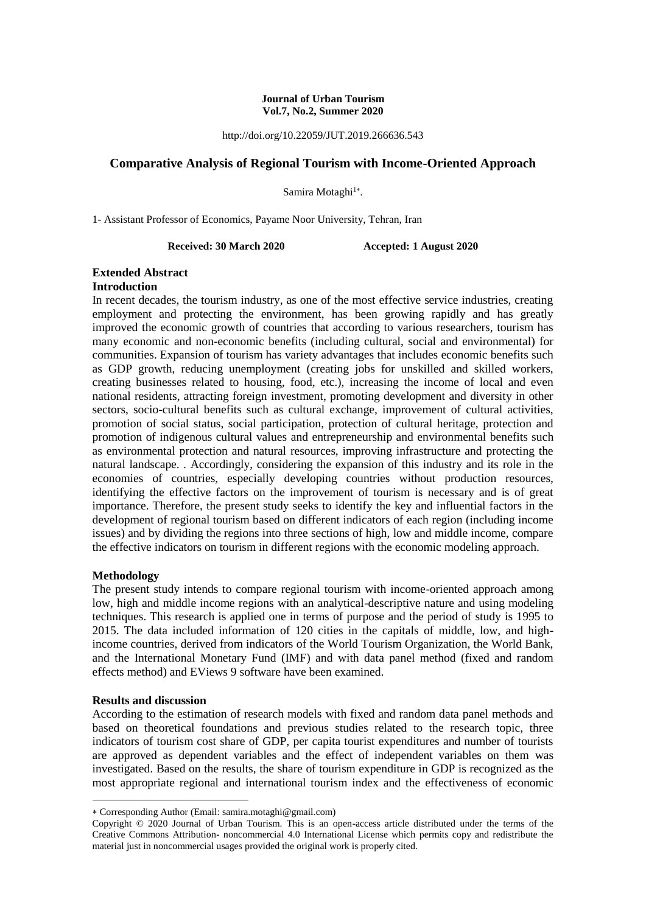#### **Journal of Urban Tourism Vol.7, No.2, Summer 2020**

http://doi.org/10.22059/JUT.2019.266636.543

## **Comparative Analysis of Regional Tourism with Income-Oriented Approach**

Samira Motaghi<sup>1\*</sup>.

1- Assistant Professor of Economics, Payame Noor University, Tehran, Iran

**Received: 30 March 2020 Accepted: 1 August 2020**

#### **Extended Abstract Introduction**

In recent decades, the tourism industry, as one of the most effective service industries, creating employment and protecting the environment, has been growing rapidly and has greatly improved the economic growth of countries that according to various researchers, tourism has many economic and non-economic benefits (including cultural, social and environmental) for communities. Expansion of tourism has variety advantages that includes economic benefits such as GDP growth, reducing unemployment (creating jobs for unskilled and skilled workers, creating businesses related to housing, food, etc.), increasing the income of local and even national residents, attracting foreign investment, promoting development and diversity in other sectors, socio-cultural benefits such as cultural exchange, improvement of cultural activities, promotion of social status, social participation, protection of cultural heritage, protection and promotion of indigenous cultural values and entrepreneurship and environmental benefits such as environmental protection and natural resources, improving infrastructure and protecting the natural landscape. . Accordingly, considering the expansion of this industry and its role in the economies of countries, especially developing countries without production resources, identifying the effective factors on the improvement of tourism is necessary and is of great importance. Therefore, the present study seeks to identify the key and influential factors in the development of regional tourism based on different indicators of each region (including income issues) and by dividing the regions into three sections of high, low and middle income, compare the effective indicators on tourism in different regions with the economic modeling approach.

### **Methodology**

The present study intends to compare regional tourism with income-oriented approach among low, high and middle income regions with an analytical-descriptive nature and using modeling techniques. This research is applied one in terms of purpose and the period of study is 1995 to 2015. The data included information of 120 cities in the capitals of middle, low, and highincome countries, derived from indicators of the World Tourism Organization, the World Bank, and the International Monetary Fund (IMF) and with data panel method (fixed and random effects method) and EViews 9 software have been examined.

#### **Results and discussion**

1

According to the estimation of research models with fixed and random data panel methods and based on theoretical foundations and previous studies related to the research topic, three indicators of tourism cost share of GDP, per capita tourist expenditures and number of tourists are approved as dependent variables and the effect of independent variables on them was investigated. Based on the results, the share of tourism expenditure in GDP is recognized as the most appropriate regional and international tourism index and the effectiveness of economic

Corresponding Author (Email: samira.motaghi@gmail.com)

Copyright © 2020 Journal of Urban Tourism. This is an open-access article distributed under the terms of the Creative Commons Attribution- noncommercial 4.0 International License which permits copy and redistribute the material just in noncommercial usages provided the original work is properly cited.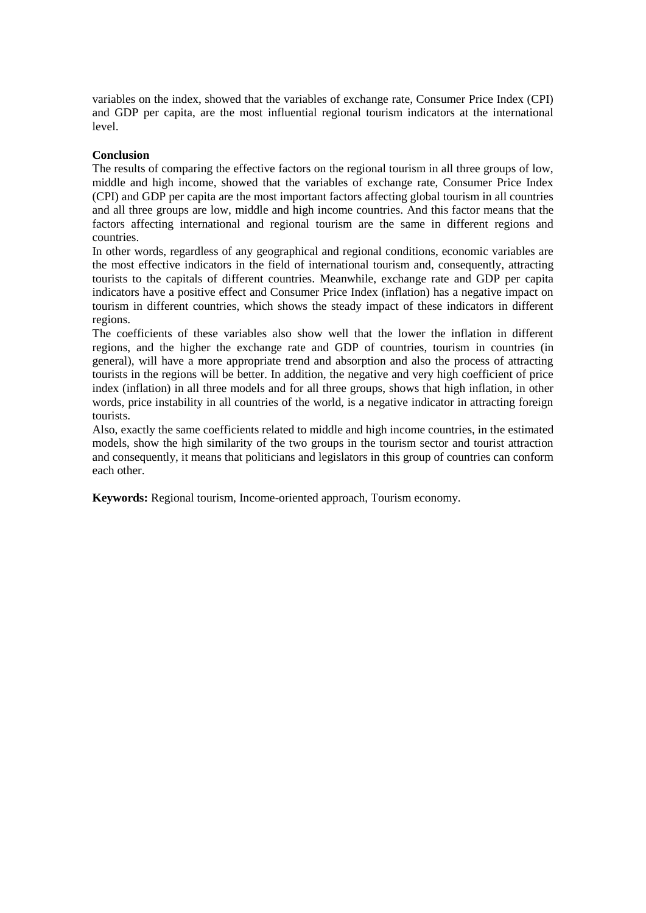variables on the index, showed that the variables of exchange rate, Consumer Price Index (CPI) and GDP per capita, are the most influential regional tourism indicators at the international level.

### **Conclusion**

The results of comparing the effective factors on the regional tourism in all three groups of low, middle and high income, showed that the variables of exchange rate, Consumer Price Index (CPI) and GDP per capita are the most important factors affecting global tourism in all countries and all three groups are low, middle and high income countries. And this factor means that the factors affecting international and regional tourism are the same in different regions and countries.

In other words, regardless of any geographical and regional conditions, economic variables are the most effective indicators in the field of international tourism and, consequently, attracting tourists to the capitals of different countries. Meanwhile, exchange rate and GDP per capita indicators have a positive effect and Consumer Price Index (inflation) has a negative impact on tourism in different countries, which shows the steady impact of these indicators in different regions.

The coefficients of these variables also show well that the lower the inflation in different regions, and the higher the exchange rate and GDP of countries, tourism in countries (in general), will have a more appropriate trend and absorption and also the process of attracting tourists in the regions will be better. In addition, the negative and very high coefficient of price index (inflation) in all three models and for all three groups, shows that high inflation, in other words, price instability in all countries of the world, is a negative indicator in attracting foreign tourists.

Also, exactly the same coefficients related to middle and high income countries, in the estimated models, show the high similarity of the two groups in the tourism sector and tourist attraction and consequently, it means that politicians and legislators in this group of countries can conform each other.

**Keywords:** Regional tourism, Income-oriented approach, Tourism economy.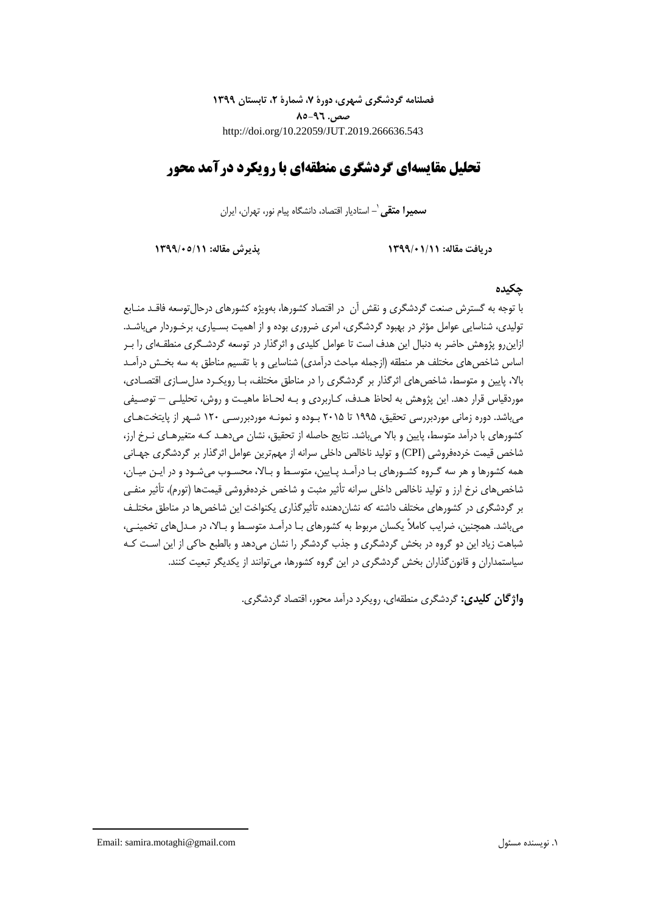**فصلنامه گردشگری شهری، دورۀ ،7 شمارۀ ،2 تابستان 1399 صص. 85-96** http://doi.org/10.22059/JUT.2019.266636.543

# **تحلیل مقایسهای گردشگری منطقهای با رویکرد درآمد محور**

**-** استادیار اقتصاد، دانشگاه پیام نور، تهران، ایران <sup>1</sup> **سمیرا متقی**

**دریافت مقاله: 1399/01/11 پذیرش مقاله: 1399/05/11**

### **چکیده**

با توجه به گسترش صنعت گردشگری و نقش آن در اقتصاد کشورها، بهویژه کشورهای درحالتوسعه فاقـد منـابع تولیدی، شناسایی عوامل مؤثر در بهبود گردشگری، امری ضروری بوده و از اهمیت بسـیاری، برخـوردار میباشـد. ازاینرو پژوهش حاضر به دنبال این هدف است تا عوامل کلیدی و اثرگذار در توسعه گردشـگری منطقـهای را بـر اساس شاخص های مختلف هر منطقه (ازجمله مباحث درآمدی) شناسایی و با تقسیم مناطق به سه بخـش درآمـد بالا، پایین و متوسط، شاخصهای اثرگذار بر گردشگری را در مناطق مختلف، بـا رویکـرد مدلِسـازی اقتصـادی، موردقیاس قرار دهد. این پژوهش به لحاظ هـدف، کـاربردی و بـه لحـاظ ماهیـت و روش، تحلیلـی – توصـیفی میباشد. دوره زمانی موردبررسی تحقیق، 1995 تا 2015 بـوده و نمونـه موردبررسـی 120 شـهر از پایتختهـای کشورهای با درآمد متوسط، پایین و بالا می باشد. نتایج حاصله از تحقیق، نشان می دهـد کـه متغیرهـای نـرخ ارز، شاخص قیمت خردهفروشی )CPI )و تولید ناخالص داخلی سرانه از مهمترین عوامل اثرگذار بر گردشگری جهـانی همه کشورها و هر سه گـروه کشـورهای بـا درآمـد پـایین، متوسـ و بـاال، محسـوب میشـود و در ایـن میـان، شاخصهای نرخ ارز و تولید ناخالص داخلی سرانه تأثیر مثبت و شاخص خردهفروشی قیمتها )تورم(، تأثیر منفـی بر گردشگری در کشورهای مختلف داشته که نشان دهنده تأثیرگذاری یکنواخت این شاخص ها در مناطق مختلـف میباشد. همچنین، ضرایب کامالً یکسان مربوط به کشورهای بـا درآمـد متوسـ و بـاال، در مـدلهای تخمینـی، شباهت زیاد این دو گروه در بخش گردشگری و جذب گردشگر را نشان میدهد و بالطبع حاکی از این اسـت کـه سیاستمداران و قانونگذاران بخش گردشگری در این گروه کشورها، میتوانند از یکدیگر تبعیت کنند.

**واژگان کلیدی:** گردشگری منطقهای، رویکرد درآمد محور، اقتصاد گردشگری.

Email: samira.motaghi@gmail.com مسئول نویسنده .1

1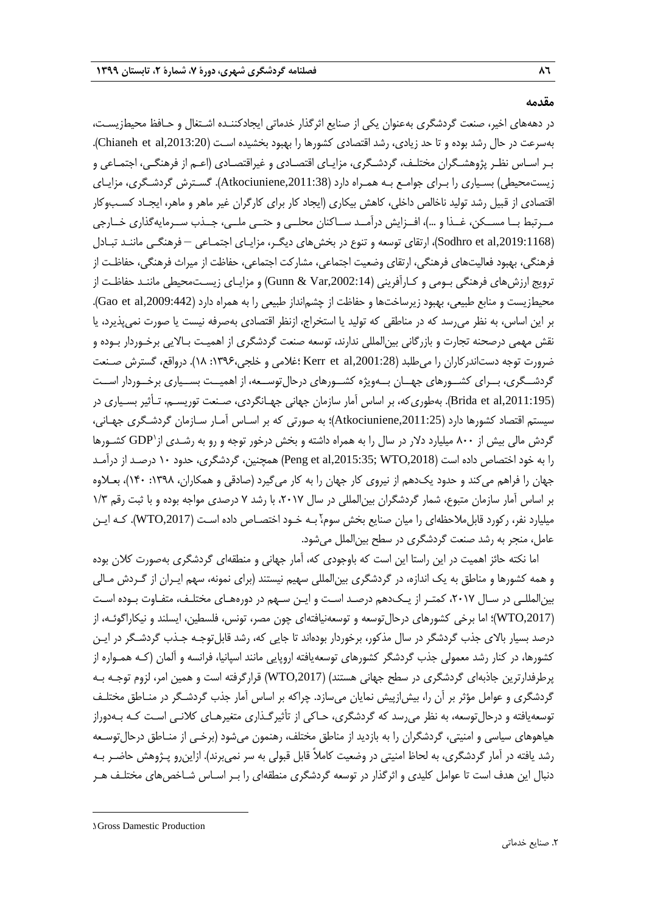#### **مقدمه**

در دهههای اخیر، صنعت گردشگری بهعنوان یکی از صنایع اثرگذار خدماتی ایجادکننـده اشـتغال و حـافظ محی زیسـت، بهسرعت در حال رشد بوده و تا حد زیادی، رشد اقتصادی کشورها را بهبود بخشیده اسـت (Chianeh et al,2013:20). بـر اسـاس نظـر پژوهشـگران مختلـف، گردشـگری، مزایـای اقتصـادی و غیراقتصـادی )اعـم از فرهنگـی، اجتمـاعی و زیستمحیطی) بسـیاری را بـرای جوامـع بـه همـراه دارد (Atkociuniene,2011:38). گسـترش گردشـگری، مزایـای اقتصادی از قبیل رشد تولید ناخالص داخلی، کاهش بیکاری )ایجاد کار برای کارگران غیر ماهر و ماهر، ایجـاد کسـبوکار مــرتبط بــا مســکن، غــذا و …)، افــزایش درآمــد ســاکنان محلــی و حتــی ملــی، جــذب ســرمایهگذاری خــارجی ),2019:1168al et Sodhro)، ارتقای توسعه و تنوع در بخشهای دیگـر، مزایـای اجتمـاعی – فرهنگـی ماننـد تبـادل فرهنگی، بهبود فعالیتهای فرهنگی، ارتقای وضعیت اجتماعی، مشارکت اجتماعی، حفاظت از میراث فرهنگی، حفاظـت از ترویج ارزشهای فرهنگی بـومی و کـارآفرینی ),2002:14Var & Gunn )و مزایـای زیسـتمحیطی ماننـد حفاظـت از محیطزیست و منابع طبیعی، بهبود زیرساختها و حفاظت از چشم|نداز طبیعی را به همراه دارد (442:009,442). بر این اساس، به نظر میرسد که در مناطقی که تولید یا استخراج، ازنظر اقتصادی بهصرفه نیست یا صورت نمیپذیرد، یا نقش مهمی درصحنه تجارت و بازرگانی بینالمللی ندارند، توسعه صنعت گردشگری از اهمیـت بـاالیی برخـوردار بـوده و ضرورت توجه دستاندرکاران را میطلبد ),2001:28al et Kerr ؛غالمی و خلجی:1396، 18(. درواقع، گسترش صـنعت گردشــگری، بــرای کشــورهای جهــان بــهویژه کشــورهای درحالتوســعه، از اهمیــت بســیاری برخــوردار اســت ),2011:195al et Brida). بهطوریکه، بر اساس آمار سازمان جهانی جهـانگردی، صـنعت توریسـم، تـأثیر بسـیاری در سیستم اقتصاد کشورها دارد ),2011:25Atkociuniene)؛ به صورتی که بر اسـاس آمـار سـازمان گردشـگری جهـانی، گردش مالی بیش از ۸۰۰ میلیارد دلار در سال را به همراه داشته و بخش درخور توجه و رو به رشـدی از ${\rm GDP}^{\backprime}$  کشـورها را به خود اختصاص داده است ),2018WTO; ,2015:35al et Peng )همچنین، گردشگری، حدود 10 درصـد از درآمـد جهان را فراهم میکند و حدود یک دهم از نیروی کار جهان را به کار میگیرد (صادقی و همکاران، ۱۳۹۸: ۱۴۰)، بعـلاوه بر اساس آمار سازمان متبوع، شمار گردشگران بینالمللی در سال ،2017 با رشد 7 درصدی مواجه بوده و با ثبت رقم 1/3 میلیارد نفر، رکورد قابل $\sim$ لحظهای را میان صنایع بخش سوم،ٔ بـه خـود اختصـاص داده اسـت (WTO,2017). کـه ایـن عامل، منجر به رشد صنعت گردشگری در سطح بینالملل میشود.

اما نکته حائز اهمیت در این راستا این است که باوجودی که، آمار جهانی و منطقهای گردشگری بهصورت کالن بوده و همه کشورها و مناطق به یک اندازه، در گردشگری بینالمللی سهیم نیستند )برای نمونه، سهم ایـران از گـردش مـالی بینالمللـی در سـال ،2017 کمتـر از یـکدهم درصـد اسـت و ایـن سـهم در دورههـای مختلـف، متفـاوت بـوده اسـت ),2017WTO)؛ اما برخی کشورهای درحالتوسعه و توسعهنیافتهای چون مصر، تونس، فلسطین، ایسلند و نیکاراگوئـه، از درصد بسیار باالی جذب گردشگر در سال مذکور، برخوردار بودهاند تا جایی که، رشد قابلتوجـه جـذب گردشـگر در ایـن کشورها، در کنار رشد معمولی جذب گردشگر کشورهای توسعهیافته اروپایی مانند اسپانیا، فرانسه و آلمان )کـه همـواره از پرطرفدارترین جاذبهای گردشگری در سطح جهانی هستند( ),2017WTO )قرارگرفته است و همین امر، لزوم توجـه بـه گردشگری و عوامل مؤثر بر آن را، بیشازپیش نمایان میسازد. چراکه بر اساس آمار جذب گردشـگر در منـاطق مختلـف توسعهیافته و درحالتوسعه، به نظر میرسد که گردشگری، حـاکی از تأثیرگـذاری متغیرهـای کالنـی اسـت کـه بـهدوراز هیاهوهای سیاسی و امنیتی، گردشگران را به بازدید از مناطق مختلف، رهنمون میشود )برخـی از منـاطق درحالتوسـعه رشد یافته در آمار گردشگری، به لحاظ امنیتی در وضعیت کاملاً قابل قبولی به سر نمی,برند). ازاین,رو پـژوهش حاضـر بـه دنبال این هدف است تا عوامل کلیدی و اثرگذار در توسعه گردشگری منطقهای را بـر اسـاس شـاخصهای مختلـف هـر

**.** 

<sup>1</sup>. Gross Damestic Production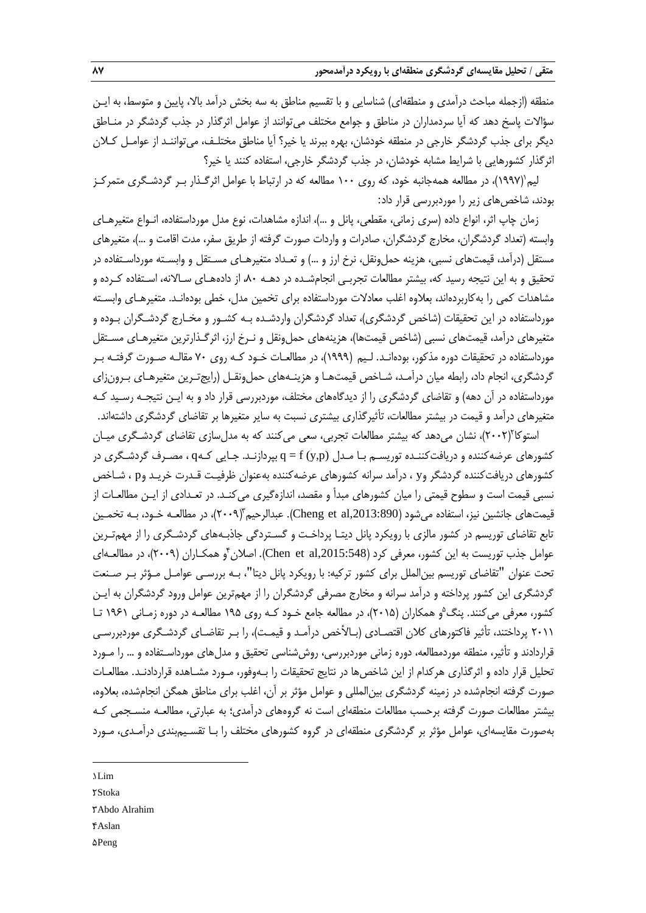منطقه (ازجمله مباحث درآمدی و منطقهای) شناسایی و با تقسیم مناطق به سه بخش درآمد بالا، پایین و متوسط، به ایـن سؤاالت پاسخ دهد که آیا سردمداران در مناطق و جوامع مختلف میتوانند از عوامل اثرگذار در جذب گردشگر در منـاطق دیگر برای جذب گردشگر خارجی در منطقه خودشان، بهره ببرند یا خیر؟ آیا مناطق مختلـف، میتواننـد از عوامـل کـالن اثرگذار کشورهایی با شرایط مشابه خودشان، در جذب گردشگر خارجی، استفاده کنند یا خیر؟

1 لیم )1997(، در مطالعه همهجانبه خود، که روی 100 مطالعه که در ارتباط با عوامل اثرگـذار بـر گردشـگری متمرکـز بودند، شاخصهای زیر را موردبررسی قرار داد:

زمان چاپ اثر، انواع داده (سری زمانی، مقطعی، پانل و ...)، اندازه مشاهدات، نوع مدل مورداستفاده، انـواع متغیرهـای وابسته )تعداد گردشگران، مخارج گردشگران، صادرات و واردات صورت گرفته از طریق سفر، مدت اقامت و ...(، متغیرهای مستقل (درآمد، قیمتهای نسبی، هزینه حمل<code>ونقل، نرخ ارز و ...) و تعـداد متغیرهـای مسـتقل و وابسـته مورداسـتفاده در</sup></code> تحقیق و به این نتیجه رسید که، بیشتر مطالعات تجربـی انجامشـده در دهـه ،80 از دادههـای سـاالنه، اسـتفاده کـرده و مشاهدات کمی را بهکاربردهاند، بعالوه اغلب معادالت مورداستفاده برای تخمین مدل، خطی بودهانـد. متغیرهـای وابسـته مورداستفاده در این تحقیقات )شاخص گردشگری(، تعداد گردشگران واردشـده بـه کشـور و مخـارج گردشـگران بـوده و متغیرهای درآمد، قیمتهای نسبی (شاخص قیمتها)، هزینههای حملونقل و نـرخ ارز، اثرگـذارترین متغیرهـای مسـتقل مورداستفاده در تحقیقات دوره مذکور، بودهانـد. لـیم )1999(، در مطالعـات خـود کـه روی 70 مقالـه صـورت گرفتـه بـر گردشگری، انجام داد، رابطه میان درآمـد، شـاخص قیمتهـا و هزینـههای حملونقـل )رایجتـرین متغیرهـای بـرونزای مورداستفاده در آن دهه) و تقاضای گردشگری را از دیدگاههای مختلف، موردبررسی قرار داد و به ایـن نتیجـه رسـید کـه متغیرهای درآمد و قیمت در بیشتر مطالعات، تأثیرگذاری بیشتری نسبت به سایر متغیرها بر تقاضای گردشگری داشتهاند.

'ستوکا'(۲۰۰۲)، نشان میدهد که بیشتر مطالعات تجربی، سعی میکنند که به مدلسازی تقاضای گردشـگری میـان کشورهای عرضهکننده و دریافتکننـده توریسـم بـا مـدل (p,y (f = q بپردازنـد. جـایی کـهq ، مصـرف گردشـگری در کشورهای دریافتکننده گردشگر وy ، درآمد سرانه کشورهای عرضهکننده بهعنوان ظرفیـت قـدرت خریـد وp ، شـاخص نسبی قیمت است و سطوح قیمتی را میان کشورهای مبدأ و مقصد، اندازهگیری میکنـد. در تعـدادی از ایـن مطالعـات از قیمتهای جانشین نیز، استفاده میشود (Cheng et al,2013:890). عبدالرحیم ّ(۲۰۰۹)، در مطالعـه خـود، بـه تخمـین تابع تقاضای توریسم در کشور مالزی با رویکرد پانل دیتـا پرداخـت و گسـتردگی جاذبـههای گردشـگری را از مهمتـرین عوامل جذب توریست به این کشور، معرفی کرد (Chen et al,2015:548). اصلان ٔ و همکـاران (۲۰۰۹)، در مطالعـهای تحت عنوان "تقاضای توریسم بینالملل برای کشور ترکیه: با رویکرد پانل دیتا"، بـه بررسـی عوامـل مـؤثر بـر صـنعت گردشگری این کشور پرداخته و درآمد سرانه و مخارج مصرفی گردشگران را از مهمترین عوامل ورود گردشگران به ایـن کشور، معرفی میکنند. پنگ<sup>۵</sup>و همکاران (۲۰۱۵)، در مطالعه جامع خـود کـه روی ۱۹۵ مطالعـه در دوره زمـانی ۱۹۶۱ تـا ۲۰۱۱ پرداختند، تأثیر فاکتورهای کلان اقتصـادی (بـالأخص درآمـد و قیمـت)، را بـر تقاضـای گردشـگری موردبررسـی قراردادند و تأثیر، منطقه موردمطالعه، دوره زمانی موردبررسی، روششناسی تحقیق و مدلهای مورداسـتفاده و ... را مـورد تحلیل قرار داده و اثرگذاری هرکدام از این شاخصها در نتایج تحقیقات را بـهوفور، مـورد مشـاهده قراردادنـد. مطالعـات صورت گرفته انجامشده در زمینه گردشگری بینالمللی و عوامل مؤثر بر آن، اغلب برای مناطق همگن انجامشده، بعالوه، بیشتر مطالعات صورت گرفته برحسب مطالعات منطقهای است نه گروههای درآمدی؛ به عبارتی، مطالعـه منسـجمی کـه بهصورت مقایسهای، عوامل مؤثر بر گردشگری منطقهای در گروه کشورهای مختلف را بـا تقسـیمبندی درآمـدی، مـورد

1. Lim

**.** 

**7. Stoka** 

3. Abdo Alrahim

- 4. Aslan
- 5. Peng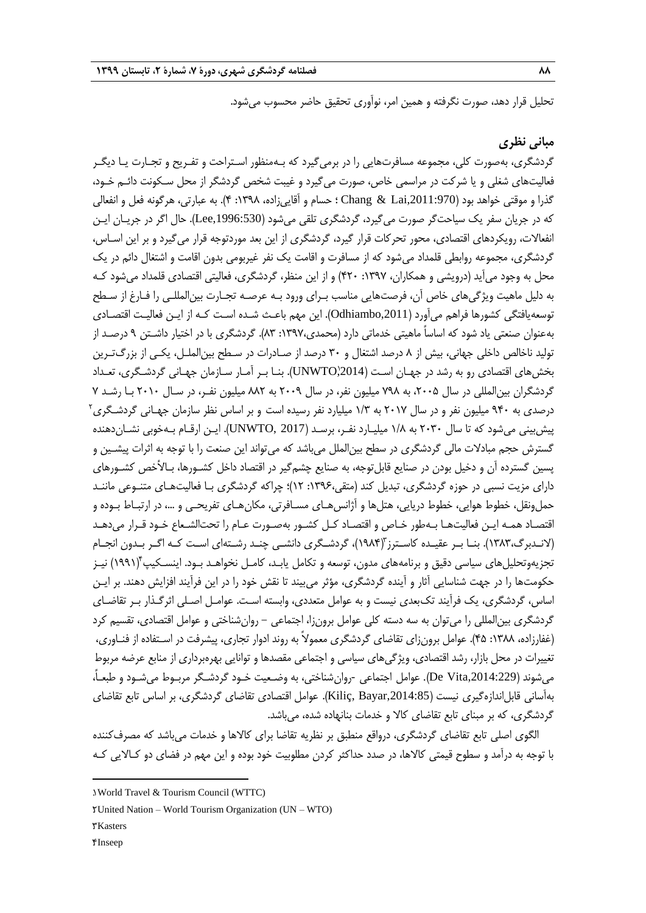تحلیل قرار دهد، صورت نگرفته و همین امر، نوآوری تحقیق حاضر محسوب میشود.

# **مبانی نظری**

گردشگری، بهصورت کلی، مجموعه مسافرتهایی را در برمیگیرد که بـهمنظور اسـتراحت و تفـریح و تجـارت یـا دیگـر فعالیتهای شغلی و یا شرکت در مراسمی خاص، صورت میگیرد و غیبت شخص گردشگر از محل سـکونت دائـم خـود، گذرا و موقتی خواهد بود ),2011:970Lai & Chang ؛ حسام و آقاییزاده، :1398 4(. به عبارتی، هرگونه فعل و انفعالی که در جریان سفر یک سیاحتگر صورت میگیرد، گردشگری تلقی میشود (Lee,1996:530). حال اگر در جریـان ایـن انفعاالت، رویکردهای اقتصادی، محور تحرکات قرار گیرد، گردشگری از این بعد موردتوجه قرار میگیرد و بر این اسـاس، گردشگری، مجموعه روابطی قلمداد میشود که از مسافرت و اقامت یک نفر غیربومی بدون اقامت و اشتغال دائم در یک محل به وجود می آید (درویشی و همکاران، ۱۳۹۷: ۴۲۰) و از این منظر، گردشگری، فعالیتی اقتصادی قلمداد می شود کـه به دلیل ماهیت ویژگیهای خاص آن، فرصتهایی مناسب بـرای ورود بـه عرصـه تجـارت بینالمللـی را فـارغ از سـطح توسعهیافتگی کشورها فراهم میآورد (Odhiambo,2011). این مهم باعـث شـده اسـت کـه از ایـن فعالیـت اقتصـادی بهعنوان صنعتی یاد شود که اساساً ماهیتی خدماتی دارد )محمدی:1397، 83(. گردشگری با در اختیار داشـتن 9 درصـد از تولید ناخالص داخلی جهانی، بیش از 8 درصد اشتغال و 30 درصد از صـادرات در سـطح بینالملـل، یکـی از بزرگتـرین بخشهای اقتصادی رو به رشد در جهـان اسـت (UNWTO)2014). بنـا بـر أمـار سـازمان جهـانی گردشـگری، تعـداد گردشگران بینالمللی در سال ،2005 به 798 میلیون نفر، در سال 2009 به 882 میلیون نفـر، در سـال 2010 بـا رشـد 7 درصدی به ۹۴۰ میلیون نفر و در سال ۲۰۱۷ به ۱/۳ میلیارد نفر رسیده است و بر اساس نظر سازمان جهـانی گردشـگری<sup>۲</sup> پیشبینی میشود که تا سال 2030 به 1/8 میلیـارد نفـر، برسـد )2017 ,UNWTO). ایـن ارقـام بـهخوبی نشـاندهنده گسترش حجم مبادالت مالی گردشگری در سطح بینالملل میباشد که میتواند این صنعت را با توجه به اثرات پیشـین و پسین گسترده آن و دخیل بودن در صنایع قابلتوجه، به صنایع چشمگیر در اقتصاد داخل کشـورها، بـاصخص کشـورهای دارای مزیت نسبی در حوزه گردشگری، تبدیل کند )متقی:1396، 12(؛ چراکه گردشگری بـا فعالیتهـای متنـوعی ماننـد حملونقل، خطوط هوایی، خطوط دریایی، هتلها و آژانسهـای مسـافرتی، مکانهـای تفریحـی و ،... در ارتبـاط بـوده و اقتصـاد همـه ایـن فعالیتهـا بـهطور خـاص و اقتصـاد کـل کشـور بهصـورت عـام را تحتالشـعاع خـود قـرار میدهـد (لانـدبرگ،۱۳۸۳). بنــا بــر عقیــده کاسـترز (۱۹۸۴)، گردشـگری دانشــی چنــد رشــتهای اسـت کــه اگــر بــدون انجــام نجزیهوتحلیلهای سیاسی دقیق و برنامههای مدون، توسعه و تکامل یابـد، کامـل نخواهـد بـود. اینسـکیپ۴(۱۹۹۱) نیــز حکومتها را در جهت شناسایی آثار و آینده گردشگری، مؤثر میبیند تا نقش خود را در این فرآیند افزایش دهند. بر ایـن اساس، گردشگری، یک فرآیند تکبعدی نیست و به عوامل متعددی، وابسته اسـت. عوامـل اصـلی اثرگـذار بـر تقاضـای گردشگری بینالمللی را میتوان به سه دسته کلی عوامل برونزا، اجتماعی - روانشناختی و عوامل اقتصادی، تقسیم کرد )غفارزاده، :1388 45(. عوامل برونزای تقاضای گردشگری معموالً به روند ادوار تجاری، پیشرفت در اسـتفاده از فنـاوری، تغییرات در محل بازار، رشد اقتصادی، ویژگیهای سیاسی و اجتماعی مقصدها و توانایی بهرهبرداری از منابع عرضه مربوط میشوند ),2014:229Vita De). عوامل اجتماعی -روانشناختی، به وضـعیت خـود گردشـگر مربـوط میشـود و طبعـا،ً بهآسانی قابل|ندازهگیری نیست (Kiliç, Bayar,2014:85). عوامل اقتصادی تقاضای گردشگری، بر اساس تابع تقاضای گردشگری، که بر مبنای تابع تقاضای کاال و خدمات بنانهاده شده، میباشد.

الگوی اصلی تابع تقاضای گردشگری، درواقع منطبق بر نظریه تقاضا برای کاالها و خدمات میباشد که مصرفکننده با توجه به درآمد و سطوح قیمتی کاالها، در صدد حداکثر کردن مطلوبیت خود بوده و این مهم در فضای دو کـاالیی کـه

**TKasters** 

**.** 

4. Inseep

<sup>1</sup>. World Travel & Tourism Council (WTTC)

<sup>2</sup>. United Nation – World Tourism Organization (UN – WTO)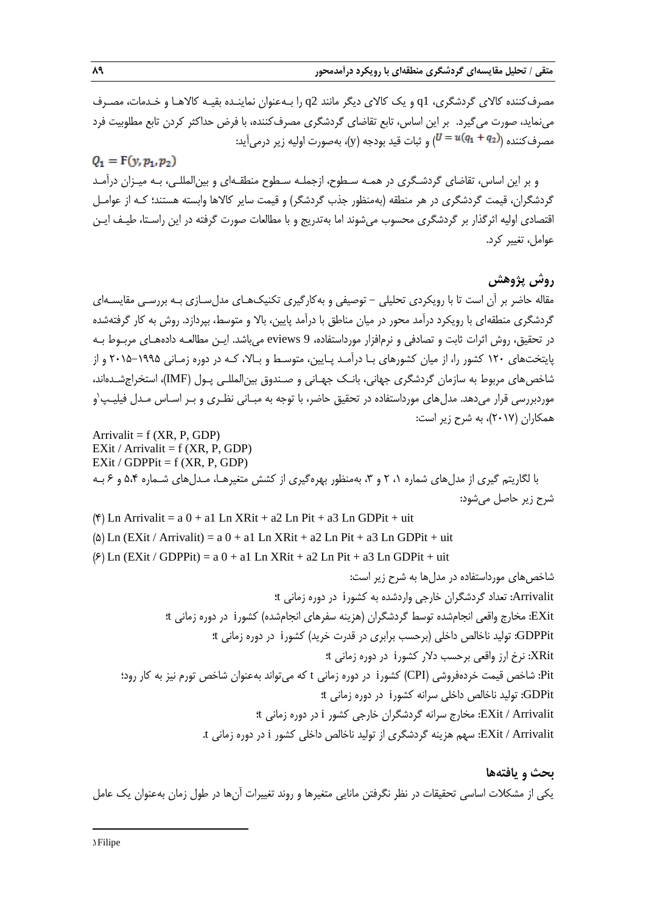مصرفکننده کاالی گردشگری، 1q و یک کاالی دیگر مانند 2q را بـهعنوان نماینـده بقیـه کاالهـا و خـدمات، مصـرف مینماید، صورت میگیرد. بر این اساس، تابع تقاضای گردشگری مصرفکننده، با فرض حداکثر کردن تابع مطلوبیت فرد مصرفکننده ( $u(q_1+q_2)$  و ثبات قید بودجه  $\langle {\rm y}\rangle$ ، بهصورت اولیه زیر درمیآید:

 $Q_1 = F(y, p_1, p_2)$ و بر این اساس، تقاضای گردشـگری در همـه سـطوح، ازجملـه سـطوح منطقـهای و بینالمللـی، بـه میـزان درآمـد گردشگران، قیمت گردشگری در هر منطقه (بهمنظور جذب گردشگر) و قیمت سایر کالاها وابسته هستند؛ کـه از عوامـل اقتصادی اولیه اثرگذار بر گردشگری محسوب میشوند اما بهتدریج و با مطالعات صورت گرفته در این راسـتا، طیـف ایـن عوامل، تغییر کرد.

# **روش پژوهش**

مقاله حاضر بر آن است تا با رویکردی تحلیلی - توصیفی و بهکارگیری تکنیکهـای مدلسـازی بـه بررسـی مقایسـهای گردشگری منطقهای با رویکرد درآمد محور در میان مناطق با درآمد پایین، بالا و متوسط، بپردازد. روش به کار گرفتهشده در تحقیق، روش اثرات ثابت و تصادفی و نرمافزار مورداستفاده، 9 eviews میباشد. ایـن مطالعـه دادههـای مربـوط بـه پایتختهای 120 کشور را، از میان کشورهای بـا درآمـد پـایین، متوسـ و بـاال، کـه در دوره زمـانی 2015-1995 و از شاخصهای مربوط به سازمان گردشگری جهانی، بانـک جهـانی و صـندوق بینالمللـی پـول )IMF)، استخراجشـدهاند، موردبررسی قرار میدهد. مدلهای مورداستفاده در تحقیق حاضر، با توجه به مبـانی نظـری و بـر اسـاس مـدل فیلیـپ`و همکاران )2017(، به شرح زیر است:

Arrivalit =  $f$  (XR, P, GDP) EXit / Arrivalit =  $f$  (XR, P, GDP) EXit / GDPPit =  $f$  (XR, P, GDP) با لگاریتم گیری از مدلهای شماره ۲۰ 1 و ۳، بهمنظور بهرهگیری از کشش متغیرهـا، مـدلهای شـماره ۵،۴ و ۶ بـه شرح زیر حاصل میشود:  $(\mathbf{f})$  Ln Arrivalit = a 0 + a1 Ln XRit + a2 Ln Pit + a3 Ln GDPit + uit

( $\Delta$ ) Ln (EXit / Arrivalit) = a 0 + a1 Ln XRit + a2 Ln Pit + a3 Ln GDPit + uit

 $(\hat{z})$  Ln (EXit / GDPPit) = a 0 + a1 Ln XRit + a2 Ln Pit + a3 Ln GDPit + uit

شاخصهای مورداستفاده در مدلها به شرح زیر است: Arrivalit: تعداد گردشگران خارجی واردشده به کشورi در دوره زمانی t؛ EXit: مخارج واقعی انجامشده توس گردشگران )هزینه سفرهای انجامشده( کشورi در دوره زمانی t؛ GDPPit: تولید ناخالص داخلی )برحسب برابری در قدرت خرید( کشورi در دوره زمانی t؛ XRit: نرخ ارز واقعی برحسب دالر کشورi در دوره زمانی t؛ Pit: شاخص قیمت خردهفروشی )CPI )کشورi در دوره زمانی t که میتواند بهعنوان شاخص تورم نیز به کار رود؛ GDPit: تولید ناخالص داخلی سرانه کشورi در دوره زمانی t؛ Arrivalit / EXit: مخارج سرانه گردشگران خارجی کشور i در دوره زمانی t؛ Arrivalit / EXit: سهم هزینه گردشگری از تولید ناخالص داخلی کشور i در دوره زمانی t.

**بحث و یافتهها** یکی از مشکالت اساسی تحقیقات در نظر نگرفتن مانایی متغیرها و روند تغییرات آنها در طول زمان بهعنوان یک عامل

1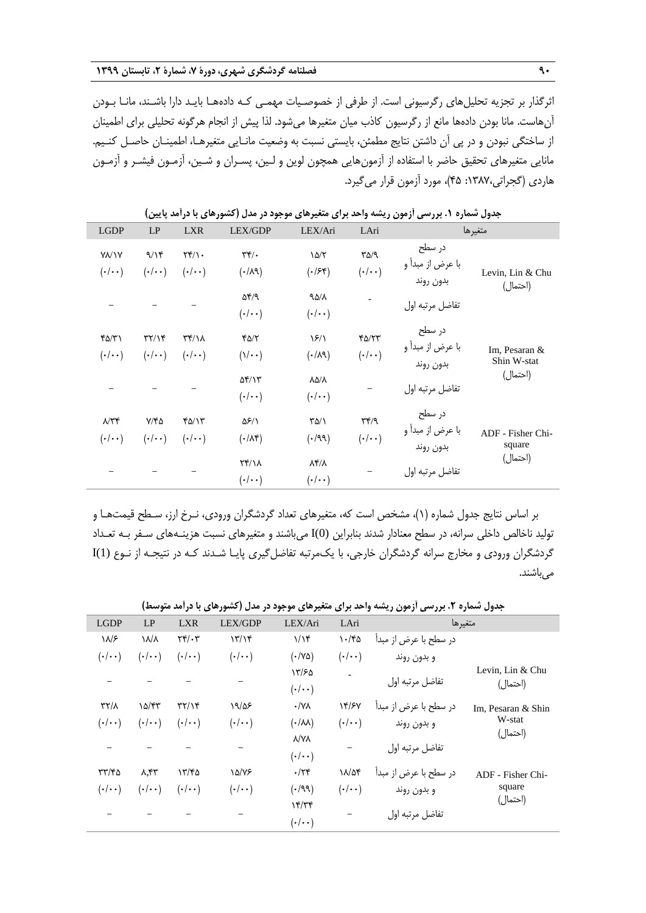اثرگذار بر تجزیه تحلیلهای رگرسیونی است. از طرفی از خصوصـیات مهمـی کـه دادههـا بایـد دارا باشـند، مانـا بـودن آنهاست. مانا بودن دادهها مانع از رگرسیون کاذب میان متغیرها میشود. لذا پیش از انجام هرگونه تحلیلی برای اطمینان از ساختگی نبودن و در پی آن داشتن نتایج مطمئن، بایستی نسبت به وضعیت مانـایی متغیرهـا، اطمینـان حاصـل کنـیم. مانایی متغیرهای تحقیق حاضر با استفاده از آزمونهایی همچون لوین و لـین، پسـران و شـین، آزمـون فیشـر و آزمـون هاردی )گجراتی:1387، 45(، مورد آزمون قرار میگیرد.

| <b>LGDP</b>          | LP                                  | <b>LXR</b>                          | LEX/GDP                          | LEX/Ari                 | LAri                            |                              | متغيرها                      |  |
|----------------------|-------------------------------------|-------------------------------------|----------------------------------|-------------------------|---------------------------------|------------------------------|------------------------------|--|
| <b>YV\Y</b>          | 9/15                                | $\uparrow\uparrow/\uparrow$ .       | $\mathbf{r} \mathbf{r}$ .        | $\frac{\delta}{\delta}$ | $\Gamma \Delta / 9$             | در سطح                       |                              |  |
| $(\cdot/\cdot\cdot)$ | $(\cdot/\cdot\cdot)$                | $(\cdot/\cdot\cdot)$                | $($ ۰/۸۹)                        | $(\cdot$ /۶۴)           | $(\cdot/\cdot\cdot)$            | با عرض از مبدأ و             | Levin, Lin & Chu             |  |
|                      |                                     |                                     | $\Delta \mathcal{F}/\mathcal{A}$ | 90/1                    |                                 | بدون روند<br>تفاضل مرتبه اول | (احتمال)                     |  |
|                      |                                     |                                     | $(\cdot/\cdot\cdot)$             | $(\cdot/\cdot\cdot)$    |                                 |                              |                              |  |
| ۴۵/۳۱                | $\uparrow\uparrow/\uparrow\uparrow$ | $\uparrow\uparrow/\uparrow\uparrow$ | $Y\Delta/Y$                      | $\frac{5}{2}$           | $Y\Delta/YY$                    | در سطح<br>با عرض از مبدأ و   |                              |  |
| $(\cdot/\cdot\cdot)$ | $(\cdot/\cdot\cdot)$                | $(\cdot/\cdot\cdot)$                | $(\lambda/\cdot\cdot)$           | (·/λ9)                  | $(\cdot/\cdot\cdot)$            |                              | Im, Pesaran &<br>Shin W-stat |  |
|                      |                                     |                                     | $\Delta f/\gamma r$              | $\lambda\Delta/\lambda$ |                                 | بدون روند<br>تفاضل مرتبه اول | (احتمال)                     |  |
|                      |                                     |                                     | $(\cdot/\cdot\cdot)$             | $(\cdot/\cdot\cdot)$    |                                 |                              |                              |  |
| $\mathcal{N}$ ۳۴     | $Y/Y$ ۵                             | ۴۵/۱۳                               | ۵۶/۱                             | $\Gamma \Delta/\Lambda$ | $\mathcal{H}^{\varphi/\varphi}$ | در سطح<br>با عرض از مبدأ و   |                              |  |
| $(\cdot/\cdot\cdot)$ | $(\cdot/\cdot\cdot)$                | $(\cdot/\cdot\cdot)$                | $(\cdot/\lambda)^{*}$            | $( \cdot / 99)$         | $(\cdot/\cdot\cdot)$            | بدون روند                    | ADF - Fisher Chi-<br>square  |  |
|                      |                                     |                                     | <b>۲۴/۱۸</b>                     | $\lambda$ ۴/ $\lambda$  |                                 |                              | (احتمال)                     |  |
|                      |                                     |                                     | $(\cdot/\cdot\cdot)$             | $(\cdot/\cdot\cdot)$    |                                 | تفاضل مرتبه اول              |                              |  |
|                      |                                     |                                     |                                  |                         |                                 |                              |                              |  |

**جدول شماره .1 بررسی آزمون ریشه واحد برای متغیرهای موجود در مدل )کشورهای با درآمد پایین(**

بر اساس نتایج جدول شماره )1(، مشخص است که، متغیرهای تعداد گردشگران ورودی، نـرخ ارز، سـطح قیمتهـا و تولید ناخالص داخلی سرانه، در سطح معنادار شدند بنابراین (0)I میباشند و متغیرهای نسبت هزینـههای سـفر بـه تعـداد گردشگران ورودی و مخارج سرانه گردشگران خارجی، با یکمرتبه تفاضلگیری پایـا شـدند کـه در نتیجـه از نـوع (1)I میباشند.

**جدول شماره .2 بررسی آزمون ریشه واحد برای متغیرهای موجود در مدل )کشورهای با درآمد متوسط(**

| <b>LGDP</b>          | LP                   | <b>LXR</b>                        | LEX/GDP              | LEX/Ari                   | LAri                 | متغيرها               |                    |
|----------------------|----------------------|-----------------------------------|----------------------|---------------------------|----------------------|-----------------------|--------------------|
| ۱۸/۶                 | ۱۸/۸                 | $\tau$                            | 17/19                | $1/\gamma$                | $\cdot$ /۴۵          | در سطح با عرض از مبدأ |                    |
| $(\cdot/\cdot\cdot)$ | $(\cdot/\cdot\cdot)$ | $(\cdot/\cdot\cdot)$              | $(\cdot/\cdot\cdot)$ | $(\cdot / \sqrt{\Delta})$ | $(\cdot/\cdot\cdot)$ | و بدون روند           |                    |
|                      |                      |                                   |                      | ۱۳/۶۵                     |                      | تفاضل مرتبه اول       | Levin, Lin & Chu   |
|                      |                      |                                   |                      | $(\cdot/\cdot\cdot)$      |                      |                       | (احتمال)           |
| $\frac{1}{2}$        | 10/T                 | $\mathbf{y}\mathbf{y}/\mathbf{y}$ | 19/25                | $\cdot / \sqrt{\Lambda}$  | 14/57                | در سطح با عرض از مبدأ | Im, Pesaran & Shin |
| $(\cdot/\cdot\cdot)$ | $(\cdot/\cdot\cdot)$ | $(\cdot/\cdot\cdot)$              | $(\cdot/\cdot\cdot)$ | $(\cdot/\lambda\lambda)$  | $(\cdot/\cdot\cdot)$ | و بدون روند           | W-stat             |
|                      |                      |                                   |                      | <b>VA/X</b>               |                      | تفاضل مرتبه اول       | (احتمال)           |
|                      |                      |                                   |                      | $(\cdot/\cdot\cdot)$      |                      |                       |                    |
| ۲۳/۴۵                | ۸,۴۳                 | ۱۳/۴۵                             | 10/18                | $\cdot$ /۲۴               | $\lambda/\Delta f$   | در سطح با عرض از مبدأ | ADF - Fisher Chi-  |
| $(\cdot/\cdot\cdot)$ | $(\cdot/\cdot\cdot)$ | $(\cdot/\cdot\cdot)$              | $(\cdot/\cdot\cdot)$ | $( \cdot / 99)$           | $(\cdot/\cdot\cdot)$ | و بدون روند           | square             |
|                      |                      |                                   |                      | $Y^{\mu}$                 |                      |                       | (احتمال)           |
|                      |                      |                                   |                      | $(\cdot/\cdot\cdot)$      |                      | تفاضل مرتبه اول       |                    |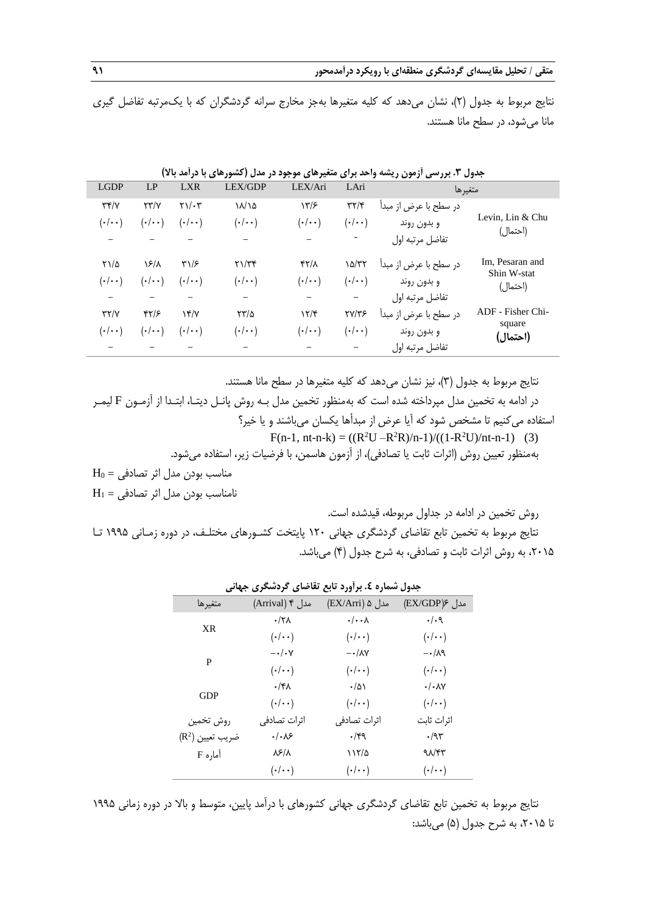نتایج مربوط به جدول )2(، نشان میدهد که کلیه متغیرها بهجز مخارج سرانه گردشگران که با یکمرتبه تفاضل گیری مانا میشود، در سطح مانا هستند.

|                         | متغيرها               | LAri                   | LEX/Ari              | LEX/GDP              | <b>LXR</b>             | LP                   | <b>LGDP</b>                                                   |
|-------------------------|-----------------------|------------------------|----------------------|----------------------|------------------------|----------------------|---------------------------------------------------------------|
|                         | در سطح با عرض از مبدأ | $\mathbf{y}\mathbf{y}$ | 17/5                 | $\lambda/\lambda$    | $Y\setminus/\cdot$ $Y$ | YY/Y                 | $\mathbf{r} \mathbf{r}/\mathbf{v}$                            |
| Levin, Lin & Chu        | و بدون روند           | $(\cdot/\cdot\cdot)$   | $(\cdot/\cdot\cdot)$ | $(\cdot/\cdot\cdot)$ | $(\cdot/\cdot\cdot)$   | $(\cdot/\cdot\cdot)$ | $(\boldsymbol{\cdot}/\boldsymbol{\cdot}\,\boldsymbol{\cdot})$ |
| (احتمال)                | تفاضل مرتبه اول       |                        |                      |                      |                        |                      |                                                               |
| Im, Pesaran and         | در سطح با عرض از مبدأ | 10/TT                  | <b>۴۲/۸</b>          | $Y\frac{1}{Y}$       | $\frac{1}{2}$          | ۱۶/۸                 | $Y\lambda/\Delta$                                             |
| Shin W-stat<br>(احتمال) | و بدون روند           | $(\cdot/\cdot\cdot)$   | $(\cdot/\cdot\cdot)$ | $(\cdot/\cdot\cdot)$ | $(\cdot/\cdot\cdot)$   | $(\cdot/\cdot\cdot)$ | $(\boldsymbol{\cdot}/\boldsymbol{\cdot}\,\boldsymbol{\cdot})$ |
|                         | تفاضل مرتبه اول       |                        |                      |                      |                        |                      |                                                               |
| ADF - Fisher Chi-       | در سطح با عرض از مبدأ | <b>TY/TS</b>           | 15/5                 | $\frac{1}{2}$        | YY/Y                   | $\frac{8}{2}$        | YY/Y                                                          |
| square<br>(احتمال)      | و بدون روند           | $(\cdot/\cdot\cdot)$   | $(\cdot/\cdot\cdot)$ | $(\cdot/\cdot\cdot)$ | $(\cdot/\cdot\cdot)$   | $(\cdot/\cdot\cdot)$ | $(\cdot/\cdot\cdot)$                                          |
|                         | تفاضل مرتبه اول       |                        |                      |                      |                        |                      |                                                               |

**جدول .3 بررسی آزمون ریشه واحد برای متغیرهای موجود در مدل )کشورهای با درآمد باال(**

نتایج مربوط به جدول (٣)، نیز نشان میدهد که کلیه متغیرها در سطح مانا هستند.

در ادامه به تخمین مدل مپرداخته شده است که بهمنظور تخمین مدل بـه روش پانـل دیتـا، ابتـدا از آزمـون F لیمـر استفاده میکنیم تا مشخص شود که آیا عرض از مبدأها یکسان میباشند و یا خیر؟

 $F(n-1, nt-n-k) = ((R<sup>2</sup>U - R<sup>2</sup>R)/n-1)/((1-R<sup>2</sup>U)/nt-n-1)$  (3)

بهمنظور تعیین روش (اثرات ثابت یا تصادفی)، از آزمون هاسمن، با فرضیات زیر، استفاده میشود.

 $H_0 =$ مناسب بودن مدل اثر تصادفی = 0H نامناسب بودن مدل اثر تصادفی = 1H

روش تخمین در ادامه در جداول مربوطه، قیدشده است.

نتایج مربوط به تخمین تابع تقاضای گردشگری جهانی 120 پایتخت کشـورهای مختلـف، در دوره زمـانی 1995 تـا ،2015 به روش اثرات ثابت و تصادفی، به شرح جدول )4( میباشد.

|                             |                       | ,, , .<br>◢                 |                         |
|-----------------------------|-----------------------|-----------------------------|-------------------------|
| متغيرها                     | مدل ۴ (Arrival)       | مدل ۵ (EX/Arri)             | مدل ۶(EX/GDP)           |
|                             | $\cdot$ /۲۸           | $\cdot/\cdot\cdot$ $\wedge$ | $\cdot/\cdot$ 9         |
| XR                          | $(\cdot/\cdot\cdot)$  | $(\cdot/\cdot\cdot)$        | $(\cdot/\cdot\cdot)$    |
|                             | $-\cdot/\cdot \vee$   | $-\cdot/\lambda V$          | $-\cdot/\lambda$ ۹      |
| P                           | $(\cdot/\cdot\cdot)$  | $(\cdot/\cdot)$             | $(\cdot/\cdot\cdot)$    |
|                             | $\cdot$ /۴۸           | $\cdot/\Delta$              | $\cdot/\cdot \lambda$ Y |
| <b>GDP</b>                  | $(\cdot/\cdot\cdot)$  | $(\cdot/\cdot\cdot)$        | $(\cdot/\cdot\cdot)$    |
| روش تخمين                   | اثرات تصادفی          | اثرات تصادفى                | اثرات ثابت              |
| $(\mathsf{R}^2)$ ضريب تعيين | $\cdot/\cdot\sqrt{2}$ | ۰/۴۹                        | $\cdot$ /95             |
| آماره F                     | ۸۶/۸                  | ۱۱۲/۵                       | $9\lambda$              |
|                             | $(\cdot/\cdot\cdot)$  | $(\cdot/\cdot\cdot)$        | $(\cdot/\cdot\cdot)$    |

**جدول شماره .4 برآورد تابع تقاضای گردشگری جهانی**

نتایج مربوط به تخمین تابع تقاضای گردشگری جهانی کشورهای با درآمد پایین، متوسط و بالا در دوره زمانی ۱۹۹۵ تا ۲۰۱۵، به شرح جدول (۵) میباشد: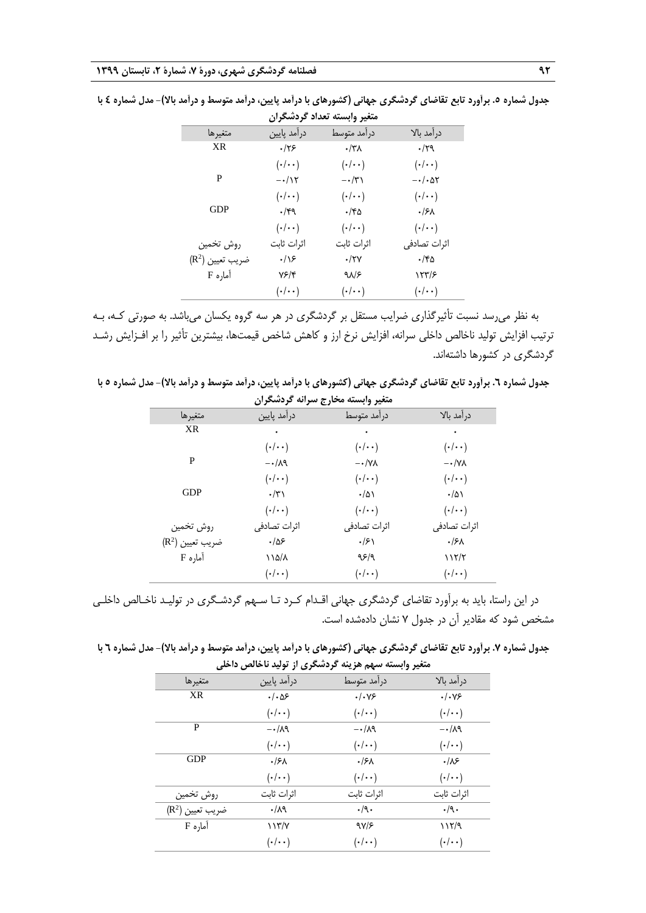| متغير وابسته تعداد كردشكران  |                      |                       |                              |  |  |  |
|------------------------------|----------------------|-----------------------|------------------------------|--|--|--|
| متغيرها                      | درأمد پايين          | درآمد متوسط           | درامد بالا                   |  |  |  |
| XR                           | $\cdot$ /۲۶          | $\cdot$ /۳۸           | $\cdot/\uparrow$ ٩           |  |  |  |
|                              | $(\cdot/\cdot\cdot)$ | $(\cdot/\cdot\cdot)$  | $(\cdot/\cdot\cdot)$         |  |  |  |
| P                            | $-\cdot/\Upsilon$    | $-\cdot/\breve{\tau}$ | $-\cdot/\cdot\Delta\Upsilon$ |  |  |  |
|                              | $(\cdot/\cdot\cdot)$ | $(\cdot/\cdot\cdot)$  | $(\cdot/\cdot\cdot)$         |  |  |  |
| GDP                          | $\cdot$ /۴۹          | ۲۵-۰                  | ۰/۶۸                         |  |  |  |
|                              | $(\cdot/\cdot\cdot)$ | $(\cdot/\cdot\cdot)$  | $(\cdot/\cdot\cdot)$         |  |  |  |
| روش تخمين                    | اثرات ثابت           | اثرات ثابت            | اثرات تصادفی                 |  |  |  |
| ضريب تعيين (R <sup>2</sup> ) | $\cdot/\sqrt{2}$     | $\cdot$ /۲۷           | ۲۵-۰                         |  |  |  |
| آماره F                      | ۷۶/۴                 | $9\lambda$            | ۱۲۳/۶                        |  |  |  |
|                              | $(\cdot/\cdot\cdot)$ | $(\cdot/\cdot\cdot)$  | $(\cdot/\cdot\cdot)$         |  |  |  |

**جدول شماره .5 برآورد تابع تقاضای گردشگری جهانی )کشورهای با درآمد پایین، درآمد متوسط و درآمد باال(- مدل شماره 4 با** 

به نظر میرسد نسبت تأثیرگذاری ضرایب مستقل بر گردشگری در هر سه گروه یکسان میباشد. به صورتی کـه، بـه ترتیب افزایش تولید ناخالص داخلی سرانه، افزایش نرخ ارز و کاهش شاخص قیمتها، بیشترین تأثیر را بر افـزایش رشـد گردشگری در کشورها داشتهاند.

**جدول شماره .6 برآورد تابع تقاضای گردشگری جهانی )کشورهای با درآمد پایین، درآمد متوسط و درآمد باال(- مدل شماره 5 با متغیر وابسته مخارج سرانه گردشگران**

| متعير وابسته محارج سراته تردسخران |                      |                        |                        |  |  |  |
|-----------------------------------|----------------------|------------------------|------------------------|--|--|--|
| متغيرها                           | درآمد پايين          | درآمد متوسط            | درآمد بالا             |  |  |  |
| XR                                | ۰                    | ٠                      | ٠                      |  |  |  |
|                                   | $(\cdot/\cdot\cdot)$ | $(\cdot/\cdot\cdot)$   | $(\cdot/\cdot\cdot)$   |  |  |  |
| P                                 | $-\cdot/\lambda$ ۹   | $-\cdot/\gamma\lambda$ | $-\cdot/\gamma\lambda$ |  |  |  |
|                                   | $(\cdot/\cdot\cdot)$ | $(\cdot/\cdot\cdot)$   | $(\cdot/\cdot\cdot)$   |  |  |  |
| <b>GDP</b>                        | $\cdot/\tau$         | $\cdot/\Delta$         | $\cdot/\Delta$         |  |  |  |
|                                   | $(\cdot/\cdot\cdot)$ | $(\cdot/\cdot\cdot)$   | $(\cdot/\cdot\cdot)$   |  |  |  |
| روش تخمين                         | اثرات تصادفی         | اثرات تصادفى           | اثرات تصادفی           |  |  |  |
| ضريب تعيين (R <sup>2</sup> )      | .185                 | $\cdot$ /۶۱            | ۰/۶۸                   |  |  |  |
| آماره F                           | ۱۱۵/۸                | ۹۶/۹                   | 117/7                  |  |  |  |
|                                   | $(\cdot/\cdot\cdot)$ | $(\cdot/\cdot\cdot)$   | $(\cdot/\cdot\cdot)$   |  |  |  |
|                                   |                      |                        |                        |  |  |  |

در این راستا، باید به برآورد تقاضای گردشگری جهانی اقـدام کـرد تـا سـهم گردشـگری در تولیـد ناخـالص داخلـی مشخص شود که مقادیر آن در جدول 7 نشان دادهشده است.

جدول شماره ۷. برآورد تابع تقاضای گردشگری جهانی (کشورهای با درآمد پایین، درآمد متوسط و درآمد بالا)- مدل شماره ۲ با **متغیر وابسته سهم هزینه گردشگری از تولید ناخالص داخلی**

| نگل ٿا سعي                   | - حربسجری از جربیه ب | ستنيز والسند سهم سرينت |                      |
|------------------------------|----------------------|------------------------|----------------------|
| متغيرها                      | درآمد پایین          | درأمد متوسط            | درآمد بالا           |
| XR                           | $\cdot/\cdot\Delta5$ | .1.99                  | .1.99                |
|                              | $(\cdot/\cdot\cdot)$ | $(\cdot/\cdot\cdot)$   | $(\cdot/\cdot\cdot)$ |
| P                            | $-\cdot/\lambda$ ۹   | $-\cdot/\lambda$ ۹     | $-\cdot/\lambda$ ۹   |
|                              | $(\cdot/\cdot\cdot)$ | $(\cdot/\cdot\cdot)$   | $(\cdot/\cdot\cdot)$ |
| <b>GDP</b>                   | $\cdot$ /۶۸          | .15 <sub>A</sub>       | $\cdot/\mathcal{N}$  |
|                              | $(\cdot/\cdot\cdot)$ | $(\cdot/\cdot\cdot)$   | $(\cdot/\cdot\cdot)$ |
| روش تخمين                    | اثرات ثابت           | اثرات ثابت             | اثرات ثابت           |
| ضريب تعيين (R <sup>2</sup> ) | $\cdot/\lambda$ ٩    | $\cdot$ /9.            | $\cdot$ /9.          |
| آماره F                      | 117/7                | 9V/F                   | ۱۱۲/۹                |
|                              | $(\cdot/\cdot\cdot)$ | $(\cdot/\cdot\cdot)$   | $(\cdot/\cdot\cdot)$ |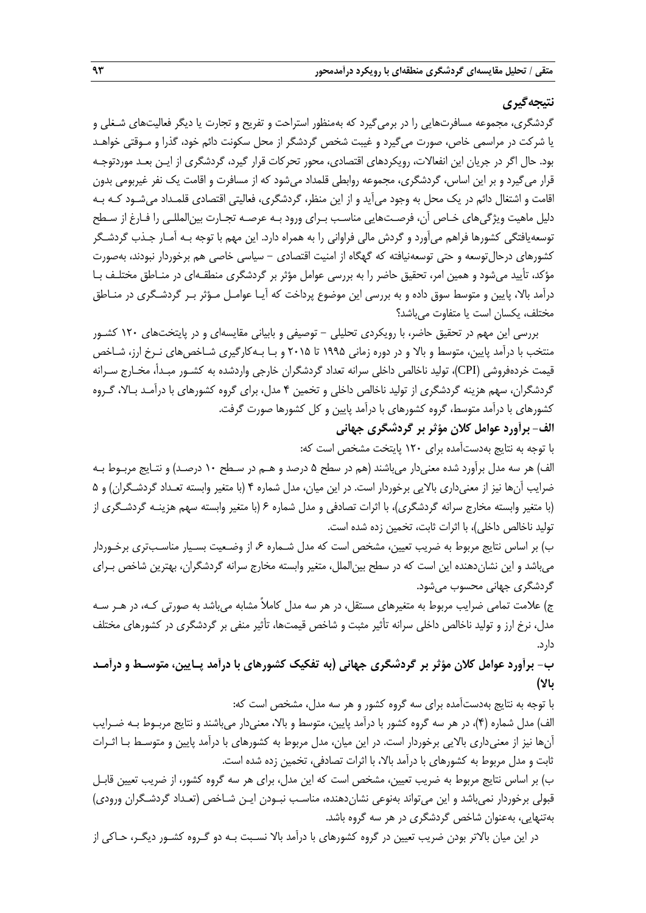# **نتیجهگیری**

گردشگری، مجموعه مسافرتهایی را در برمیگیرد که بهمنظور استراحت و تفریح و تجارت یا دیگر فعالیتهای شـغلی و یا شرکت در مراسمی خاص، صورت میگیرد و غیبت شخص گردشگر از محل سکونت دائم خود، گذرا و مـوقتی خواهـد بود. حال اگر در جریان این انفعاالت، رویکردهای اقتصادی، محور تحرکات قرار گیرد، گردشگری از ایـن بعـد موردتوجـه قرار میگیرد و بر این اساس، گردشگری، مجموعه روابطی قلمداد میشود که از مسافرت و اقامت یک نفر غیربومی بدون اقامت و اشتغال دائم در یک محل به وجود میآید و از این منظر، گردشگری، فعالیتی اقتصادی قلمـداد میشـود کـه بـه دلیل ماهیت ویژگیهای خـاص آن، فرصـتهایی مناسـب بـرای ورود بـه عرصـه تجـارت بینالمللـی را فـارغ از سـطح توسعهیافتگی کشورها فراهم میآورد و گردش مالی فراوانی را به همراه دارد. این مهم با توجه بـه آمـار جـذب گردشـگر کشورهای درحالتوسعه و حتی توسعهنیافته که گهگاه از امنیت اقتصادی - سیاسی خاصی هم برخوردار نبودند، بهصورت مؤکد، تأیید میشود و همین امر، تحقیق حاضر را به بررسی عوامل مؤثر بر گردشگری منطقـهای در منـاطق مختلـف بـا درآمد بالا، پایین و متوسط سوق داده و به بررسی این موضوع پرداخت که آیـا عوامـل مـؤثر بـر گردشـگری در منـاطق مختلف، یکسان است یا متفاوت میباشد؟

بررسی این مهم در تحقیق حاضر، با رویکردی تحلیلی - توصیفی و بابیانی مقایسهای و در پایتختهای 120 کشـور منتخب با درآمد پایین، متوسط و بالا و در دوره زمانی ۱۹۹۵ تا ۲۰۱۵ و بـا بـهکارگیری شـاخصهای نـرخ ارز، شـاخص قیمت خردهفروشی )CPI)، تولید ناخالص داخلی سرانه تعداد گردشگران خارجی واردشده به کشـور مبـدأ، مخـارج سـرانه گردشگران، سهم هزینه گردشگری از تولید ناخالص داخلی و تخمین 4 مدل، برای گروه کشورهای با درآمـد بـاال، گـروه کشورهای با درآمد متوسط، گروه کشورهای با درآمد پایین و کل کشورها صورت گرفت.

# **الف- برآورد عوامل کالن مؤثر بر گردشگری جهانی**

با توجه به نتایج بهدستآمده برای 120 پایتخت مشخص است که: الف) هر سه مدل برآورد شده معنیدار میباشند (هم در سطح ۵ درصد و هـم در سـطح ۱۰ درصـد) و نتـایج مربـوط بـه ضرایب آنها نیز از معنیداری بالایی برخوردار است. در این میان، مدل شماره ۴ (با متغیر وابسته تعـداد گردشـگران) و ۵ )با متغیر وابسته مخارج سرانه گردشگری(، با اثرات تصادفی و مدل شماره 6 )با متغیر وابسته سهم هزینـه گردشـگری از تولید ناخالص داخلی)، با اثرات ثابت، تخمین زده شده است.

ب) بر اساس نتایج مربوط به ضریب تعیین، مشخص است که مدل شـماره ۶، از وضـعیت بسـیار مناسـبتری برخـوردار میباشد و این نشاندهنده این است که در سطح بینالملل، متغیر وابسته مخارج سرانه گردشگران، بهترین شاخص بـرای گردشگری جهانی محسوب میشود.

ج) علامت تمامی ضرایب مربوط به متغیرهای مستقل، در هر سه مدل کاملاً مشابه میباشد به صورتی کـه، در هـر سـه مدل، نرخ ارز و تولید ناخالص داخلی سرانه تأثیر مثبت و شاخص قیمتها، تأثیر منفی بر گردشگری در کشورهای مختلف دارد.

# **ب- برآورد عوامل کالن مؤثر بر گردشگری جهانی )به تفکیک کشورهای با درآمد پـایین، متوسـط و درآمـد باال(**

با توجه به نتایج بهدستآمده برای سه گروه کشور و هر سه مدل، مشخص است که: الف) مدل شماره (۴)، در هر سه گروه کشور با درآمد پایین، متوسط و بالا، معنیدار میباشند و نتایج مربـوط بـه ضـرایب آنها نیز از معنیداری باالیی برخوردار است. در این میان، مدل مربوط به کشورهای با درآمد پایین و متوسـ بـا اثـرات ثابت و مدل مربوط به کشورهای با درآمد باال، با اثرات تصادفی، تخمین زده شده است.

ب) بر اساس نتایج مربوط به ضریب تعیین، مشخص است که این مدل، برای هر سه گروه کشور، از ضریب تعیین قابـل قبولی برخوردار نمیباشد و این میتواند بهنوعی نشاندهنده، مناسـب نبـودن ایـن شـاخص )تعـداد گردشـگران ورودی( بهتنهایی، بهعنوان شاخص گردشگری در هر سه گروه باشد.

در این میان باالتر بودن ضریب تعیین در گروه کشورهای با درآمد باال نسـبت بـه دو گـروه کشـور دیگـر، حـاکی از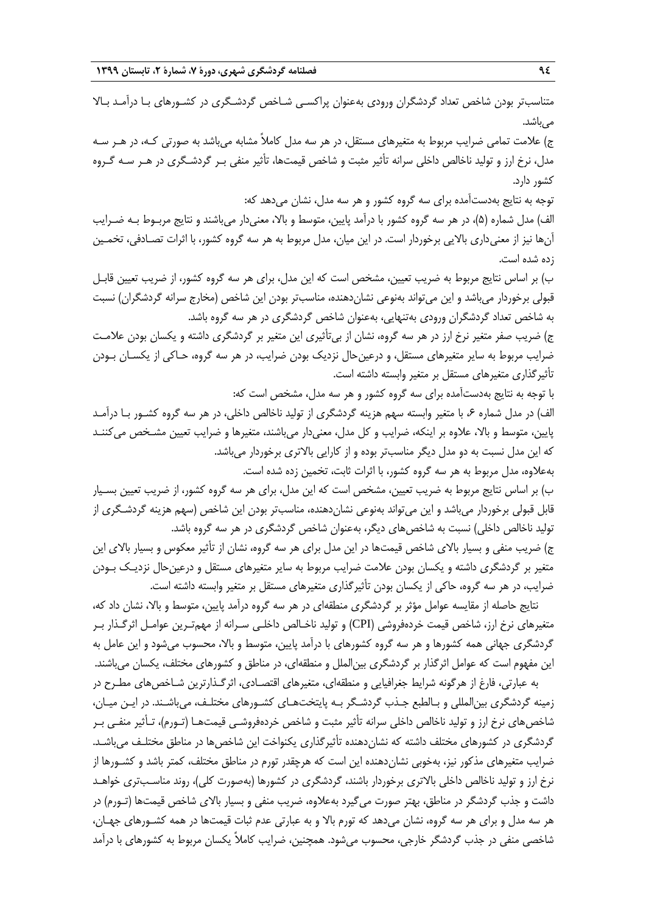متناسبتر بودن شاخص تعداد گردشگران ورودی بهعنوان پراکسـی شـاخص گردشـگری در کشـورهای بـا درآمـد بـاال مے ،باشد.

ج) علامت تمامی ضرایب مربوط به متغیرهای مستقل، در هر سه مدل کاملاً مشابه میباشد به صورتی کـه، در هـر سـه مدل، نرخ ارز و تولید ناخالص داخلی سرانه تأثیر مثبت و شاخص قیمتها، تأثیر منفی بـر گردشـگری در هـر سـه گـروه کشور دارد.

توجه به نتایج بهدستآمده برای سه گروه کشور و هر سه مدل، نشان میدهد که: الف) مدل شماره (۵)، در هر سه گروه کشور با درآمد پایین، متوسط و بالا، معنیدار میباشند و نتایج مربـوط بـه ضـرایب آنها نیز از معنیداری باالیی برخوردار است. در این میان، مدل مربوط به هر سه گروه کشور، با اثرات تصـادفی، تخمـین زده شده است.

ب) بر اساس نتایج مربوط به ضریب تعیین، مشخص است که این مدل، برای هر سه گروه کشور، از ضریب تعیین قابـل قبولی برخوردار میباشد و این میتواند بهنوعی نشاندهنده، مناسبتر بودن این شاخص (مخارج سرانه گردشگران) نسبت به شاخص تعداد گردشگران ورودی بهتنهایی، بهعنوان شاخص گردشگری در هر سه گروه باشد.

ج) ضریب صفر متغیر نرخ ارز در هر سه گروه، نشان از بیتأثیری این متغیر بر گردشگری داشته و یکسان بودن علامـت ضرایب مربوط به سایر متغیرهای مستقل، و درعینحال نزدیک بودن ضرایب، در هر سه گروه، حـاکی از یکسـان بـودن تأثیرگذاری متغیرهای مستقل بر متغیر وابسته داشته است.

با توجه به نتایج بهدستآمده برای سه گروه کشور و هر سه مدل، مشخص است که:

الف) در مدل شماره ۶، با متغیر وابسته سهم هزینه گردشگری از تولید ناخالص داخلی، در هر سه گروه کشـور بـا درآمـد پایین، متوسط و بالا، علاوه بر اینکه، ضرایب و کل مدل، معنیدار میباشند، متغیرها و ضرایب تعیین مشـخص می کننـد که این مدل نسبت به دو مدل دیگر مناسبتر بوده و از کارایی بالاتری برخوردار میباشد. بهعالوه، مدل مربوط به هر سه گروه کشور، با اثرات ثابت، تخمین زده شده است.

ب) بر اساس نتایج مربوط به ضریب تعیین، مشخص است که این مدل، برای هر سه گروه کشور، از ضریب تعیین بسـیار قابل قبولی برخوردار میباشد و این میتواند بهنوعی نشاندهنده، مناسبتر بودن این شاخص )سهم هزینه گردشـگری از تولید ناخالص داخلی) نسبت به شاخصهای دیگر، بهعنوان شاخص گردشگری در هر سه گروه باشد.

ج) ضریب منفی و بسیار بالای شاخص قیمتها در این مدل برای هر سه گروه، نشان از تأثیر معکوس و بسیار بالای این متغیر بر گردشگری داشته و یکسان بودن عالمت ضرایب مربوط به سایر متغیرهای مستقل و درعینحال نزدیـک بـودن ضرایب، در هر سه گروه، حاکی از یکسان بودن تأثیرگذاری متغیرهای مستقل بر متغیر وابسته داشته است.

نتایج حاصله از مقایسه عوامل مؤثر بر گردشگری منطقهای در هر سه گروه درآمد پایین، متوس و باال، نشان داد که، متغیرهای نرخ ارز، شاخص قیمت خردهفروشی )CPI )و تولید ناخـالص داخلـی سـرانه از مهمتـرین عوامـل اثرگـذار بـر گردشگری جهانی همه کشورها و هر سه گروه کشورهای با درآمد پایین، متوسط و بالا، محسوب میشود و این عامل به این مفهوم است که عوامل اثرگذار بر گردشگری بینالملل و منطقهای، در مناطق و کشورهای مختلف، یکسان میباشند. به عبارتی، فارغ از هرگونه شرایط جغرافیایی و منطقهای، متغیرهای اقتصـادی، اثرگـذارترین شـاخصهای مطـرح در

زمینه گردشگری بینالمللی و بـالطبع جـذب گردشـگر بـه پایتختهـای کشـورهای مختلـف، میباشـند. در ایـن میـان، شاخصهای نرخ ارز و تولید ناخالص داخلی سرانه تأثیر مثبت و شاخص خردهفروشـی قیمتهـا )تـورم(، تـأثیر منفـی بـر گردشگری در کشورهای مختلف داشته که نشاندهنده تأثیرگذاری یکنواخت این شاخصها در مناطق مختلـف میباشـد. ضرایب متغیرهای مذکور نیز، بهخوبی نشاندهنده این است که هرچقدر تورم در مناطق مختلف، کمتر باشد و کشـورها از نرخ ارز و تولید ناخالص داخلی بالاتری برخوردار باشند، گردشگری در کشورها (بهصورت کلی)، روند مناسـبتری خواهـد داشت و جذب گردشگر در مناطق، بهتر صورت می گیرد بهعلاوه، ضریب منفی و بسیار بالای شاخص قیمتها (تـورم) در هر سه مدل و برای هر سه گروه، نشان میدهد که تورم باال و به عبارتی عدم ثبات قیمتها در همه کشـورهای جهـان، شاخصی منفی در جذب گردشگر خارجی، محسوب میشود. همچنین، ضرایب کامالً یکسان مربوط به کشورهای با درآمد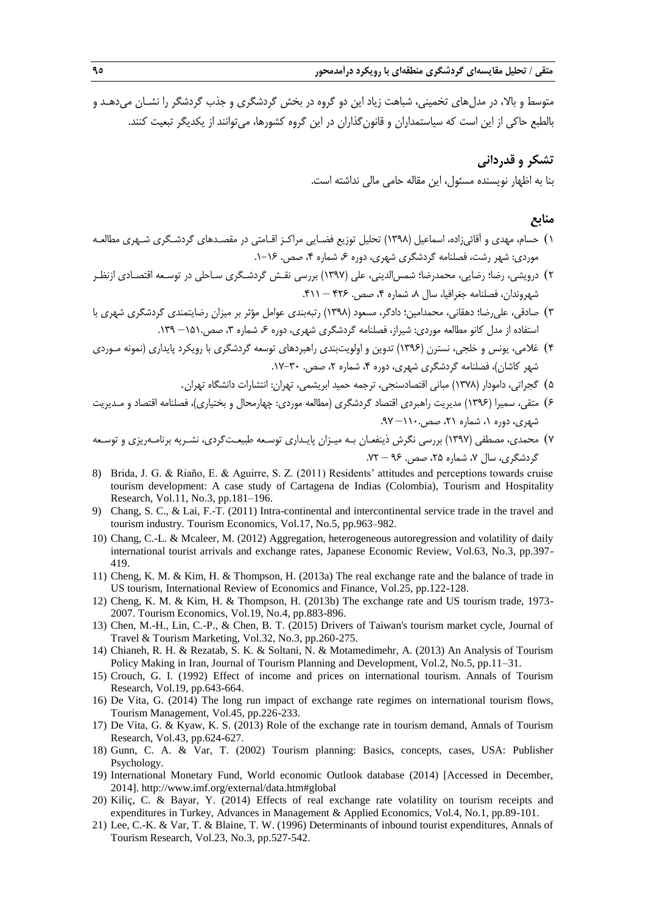متوسط و بالا، در مدل های تخمینی، شباهت زیاد این دو گروه در بخش گردشگری و جذب گردشگر را نشـان می دهـد و بالطبع حاکی از این است که سیاستمداران و قانونگذاران در این گروه کشورها، میتوانند از یکدیگر تبعیت کنند.

# **تشکر و قدردانی**

بنا به اظهار نویسنده مسئول، این مقاله حامی مالی نداشته است.

# **منابع**

- 1( حسام، مهدی و آقائیزاده، اسماعیل )1398( تحلیل توزیع فضـایی مراکـز اقـامتی در مقصـدهای گردشـگری شـهری مطالعـه موردی: شهر رشت، فصلنامه گردشگری شهری، دوره ۶، شماره ۴، صص. ۱-۱۶.
- 2( درویشی، رضا؛ رضایی، محمدرضا؛ شمسالدینی، علی )1397( بررسی نقـش گردشـگری سـاحلی در توسـعه اقتصـادی ازنظـر شهروندان، فصلنامه جغرافیا، سال ،8 شماره ،4 صص. 426 – .411
- 3( صادقی، علیرضا؛ دهقانی، محمدامین؛ دادگر، مسعود )1398( رتبهبندی عوامل مؤثر بر میزان رضایتمندی گردشگری شهری با استفاده از مدل کانو مطالعه موردی: شیراز، فصلنامه گردشگری شهری، دوره ۶، شماره ۳، صص۱۵۱.– ۱۳۹.
- 4( غالمی، یونس و خلجی، نسترن )1396( تدوین و اولویتبندی راهبردهای توسعه گردشگری با رویکرد پایداری )نمونه مـوردی شهر کاشان)، فصلنامه گردشگری شهری، دوره ۴، شماره ۲، صص. ۳۰-۱۷.
	- 5( گجراتی، دامودار )1378( مبانی اقتصادسنجی، ترجمه حمید ابریشمی، تهران: انتشارات دانشگاه تهران.
- 6( متقی، سمیرا )1396( مدیریت راهبردی اقتصاد گردشگری )مطالعه موردی: چهارمحال و بختیاری(، فصلنامه اقتصاد و مـدیریت شهری، دوره ،1 شماره ،21 صص110.– .97
- 7( محمدی، مصطفی )1397( بررسی نگرش ذینفعـان بـه میـزان پایـداری توسـعه طبیعـتگردی، نشـریه برنامـهریزی و توسـعه گردشگری، سال ۷، شماره ۲۵، صص. ۹۶ – ۷۲.
- 8) Brida, J. G. & Riaño, E. & Aguirre, S. Z. (2011) Residents' attitudes and perceptions towards cruise tourism development: A case study of Cartagena de Indias (Colombia), Tourism and Hospitality Research, Vol.11, No.3, pp.181–196.
- 9) Chang, S. C., & Lai, F.-T. (2011) Intra-continental and intercontinental service trade in the travel and tourism industry. Tourism Economics, Vol.17, No.5, pp.963-982.
- 10) Chang, C.-L. & Mcaleer, M. (2012) Aggregation, heterogeneous autoregression and volatility of daily international tourist arrivals and exchange rates, Japanese Economic Review, Vol.63, No.3, pp.397- 419.
- 11) Cheng, K. M. & Kim, H. & Thompson, H. (2013a) The real exchange rate and the balance of trade in US tourism, International Review of Economics and Finance, Vol.25, pp.122-128.
- 12) Cheng, K. M. & Kim, H. & Thompson, H. (2013b) The exchange rate and US tourism trade, 1973- 2007. Tourism Economics, Vol.19, No.4, pp.883-896.
- 13) Chen, M.-H., Lin, C.-P., & Chen, B. T. (2015) Drivers of Taiwan's tourism market cycle, Journal of Travel & Tourism Marketing, Vol.32, No.3, pp.260-275.
- 14) Chianeh, R. H. & Rezatab, S. K. & Soltani, N. & Motamedimehr, A. (2013) An Analysis of Tourism Policy Making in Iran, Journal of Tourism Planning and Development, Vol.2, No.5, pp.11–31.
- 15) Crouch, G. I. (1992) Effect of income and prices on international tourism. Annals of Tourism Research, Vol.19, pp.643-664.
- 16) De Vita, G. (2014) The long run impact of exchange rate regimes on international tourism flows, Tourism Management, Vol.45, pp.226-233.
- 17) De Vita, G. & Kyaw, K. S. (2013) Role of the exchange rate in tourism demand, Annals of Tourism Research, Vol.43, pp.624-627.
- 18) Gunn, C. A. & Var, T. (2002) Tourism planning: Basics, concepts, cases, USA: Publisher Psychology.
- 19) International Monetary Fund, World economic Outlook database (2014) [Accessed in December, 2014]. http://www.imf.org/external/data.htm#global
- 20) Kiliç, C. & Bayar, Y. (2014) Effects of real exchange rate volatility on tourism receipts and expenditures in Turkey, Advances in Management & Applied Economics, Vol.4, No.1, pp.89-101.
- 21) Lee, C.-K. & Var, T. & Blaine, T. W. (1996) Determinants of inbound tourist expenditures, Annals of Tourism Research, Vol.23, No.3, pp.527-542.